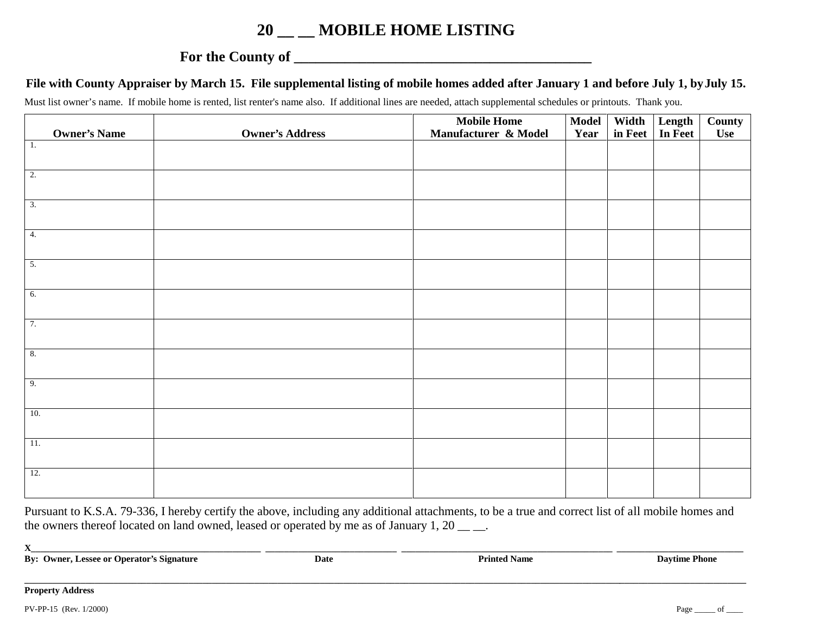## **20 \_\_ \_\_ MOBILE HOME LISTING**

## **For the County of \_\_\_\_\_\_\_\_\_\_\_\_\_\_\_\_\_\_\_\_\_\_\_\_\_\_\_\_\_\_\_\_\_\_\_\_\_\_\_\_\_**

## **File with County Appraiser by March 15. File supplemental listing of mobile homes added after January 1 and before July 1, by July 15.**

Must list owner's name. If mobile home is rented, list renter's name also. If additional lines are needed, attach supplemental schedules or printouts. Thank you.

|                     |                        | <b>Mobile Home</b>   | <b>Model</b> | Width   | Length<br>In Feet | County |
|---------------------|------------------------|----------------------|--------------|---------|-------------------|--------|
| <b>Owner's Name</b> | <b>Owner's Address</b> | Manufacturer & Model | Year         | in Feet |                   | Use    |
| $\overline{1}$ .    |                        |                      |              |         |                   |        |
|                     |                        |                      |              |         |                   |        |
| $\overline{2}$ .    |                        |                      |              |         |                   |        |
|                     |                        |                      |              |         |                   |        |
|                     |                        |                      |              |         |                   |        |
| $\overline{3}$ .    |                        |                      |              |         |                   |        |
|                     |                        |                      |              |         |                   |        |
| $\overline{4}$ .    |                        |                      |              |         |                   |        |
|                     |                        |                      |              |         |                   |        |
| 5.                  |                        |                      |              |         |                   |        |
|                     |                        |                      |              |         |                   |        |
|                     |                        |                      |              |         |                   |        |
| 6.                  |                        |                      |              |         |                   |        |
|                     |                        |                      |              |         |                   |        |
| 7.                  |                        |                      |              |         |                   |        |
|                     |                        |                      |              |         |                   |        |
|                     |                        |                      |              |         |                   |        |
| $\overline{8}$ .    |                        |                      |              |         |                   |        |
|                     |                        |                      |              |         |                   |        |
| 9.                  |                        |                      |              |         |                   |        |
|                     |                        |                      |              |         |                   |        |
| 10.                 |                        |                      |              |         |                   |        |
|                     |                        |                      |              |         |                   |        |
|                     |                        |                      |              |         |                   |        |
| 11.                 |                        |                      |              |         |                   |        |
|                     |                        |                      |              |         |                   |        |
| 12.                 |                        |                      |              |         |                   |        |
|                     |                        |                      |              |         |                   |        |
|                     |                        |                      |              |         |                   |        |

Pursuant to K.S.A. 79-336, I hereby certify the above, including any additional attachments, to be a true and correct list of all mobile homes and the owners thereof located on land owned, leased or operated by me as of January 1, 20  $\_\_$ 

 $\mathbf{X}$  and the state of the state of the state of the state of the state of the state of the state of the state of the state of the state of the state of the state of the state of the state of the state of the state of

**By: Owner, Lessee or Operator's Signature Date Date Printed Name Daytime Phone** 

**Property Address**